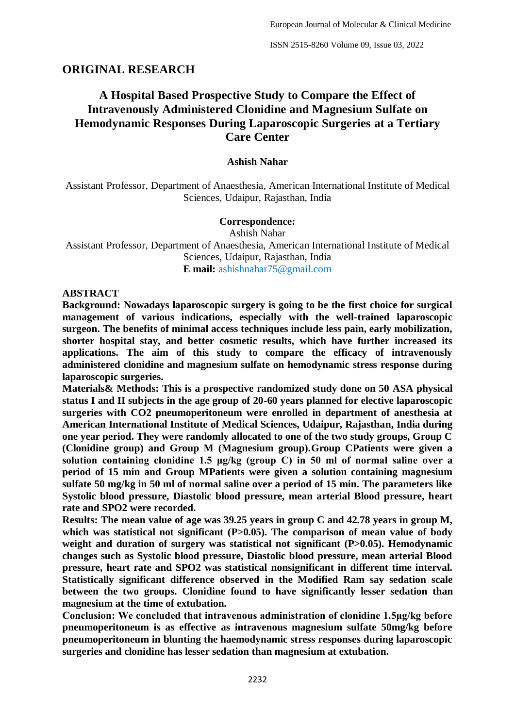# **ORIGINAL RESEARCH**

# **A Hospital Based Prospective Study to Compare the Effect of Intravenously Administered Clonidine and Magnesium Sulfate on Hemodynamic Responses During Laparoscopic Surgeries at a Tertiary Care Center**

#### **Ashish Nahar**

Assistant Professor, Department of Anaesthesia, American International Institute of Medical Sciences, Udaipur, Rajasthan, India

#### **Correspondence:**

Ashish Nahar Assistant Professor, Department of Anaesthesia, American International Institute of Medical Sciences, Udaipur, Rajasthan, India **E mail:** ashishnahar75@gmail.com

#### **ABSTRACT**

**Background: Nowadays laparoscopic surgery is going to be the first choice for surgical management of various indications, especially with the well-trained laparoscopic surgeon. The benefits of minimal access techniques include less pain, early mobilization, shorter hospital stay, and better cosmetic results, which have further increased its applications. The aim of this study to compare the efficacy of intravenously administered clonidine and magnesium sulfate on hemodynamic stress response during laparoscopic surgeries.**

**Materials& Methods: This is a prospective randomized study done on 50 ASA physical status I and II subjects in the age group of 20-60 years planned for elective laparoscopic surgeries with CO2 pneumoperitoneum were enrolled in department of anesthesia at American International Institute of Medical Sciences, Udaipur, Rajasthan, India during one year period. They were randomly allocated to one of the two study groups, Group C (Clonidine group) and Group M (Magnesium group).Group CPatients were given a solution containing clonidine 1.5 μg/kg (group C) in 50 ml of normal saline over a period of 15 min and Group MPatients were given a solution containing magnesium sulfate 50 mg/kg in 50 ml of normal saline over a period of 15 min. The parameters like Systolic blood pressure, Diastolic blood pressure, mean arterial Blood pressure, heart rate and SPO2 were recorded.**

**Results: The mean value of age was 39.25 years in group C and 42.78 years in group M,**  which was statistical not significant (P>0.05). The comparison of mean value of body weight and duration of surgery was statistical not significant (P>0.05). Hemodynamic **changes such as Systolic blood pressure, Diastolic blood pressure, mean arterial Blood pressure, heart rate and SPO2 was statistical nonsignificant in different time interval. Statistically significant difference observed in the Modified Ram say sedation scale between the two groups. Clonidine found to have significantly lesser sedation than magnesium at the time of extubation.**

**Conclusion: We concluded that intravenous administration of clonidine 1.5μg/kg before pneumoperitoneum is as effective as intravenous magnesium sulfate 50mg/kg before pneumoperitoneum in blunting the haemodynamic stress responses during laparoscopic surgeries and clonidine has lesser sedation than magnesium at extubation.**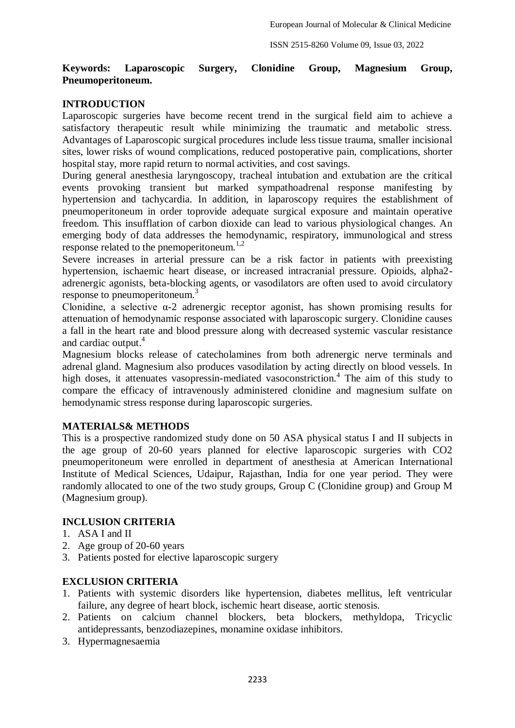### **Keywords: Laparoscopic Surgery, Clonidine Group, Magnesium Group, Pneumoperitoneum.**

## **INTRODUCTION**

Laparoscopic surgeries have become recent trend in the surgical field aim to achieve a satisfactory therapeutic result while minimizing the traumatic and metabolic stress. Advantages of Laparoscopic surgical procedures include less tissue trauma, smaller incisional sites, lower risks of wound complications, reduced postoperative pain, complications, shorter hospital stay, more rapid return to normal activities, and cost savings.

During general anesthesia laryngoscopy, tracheal intubation and extubation are the critical events provoking transient but marked sympathoadrenal response manifesting by hypertension and tachycardia. In addition, in laparoscopy requires the establishment of pneumoperitoneum in order toprovide adequate surgical exposure and maintain operative freedom. This insufflation of carbon dioxide can lead to various physiological changes. An emerging body of data addresses the hemodynamic, respiratory, immunological and stress response related to the pnemoperitoneum.<sup>1,2</sup>

Severe increases in arterial pressure can be a risk factor in patients with preexisting hypertension, ischaemic heart disease, or increased intracranial pressure. Opioids, alpha2 adrenergic agonists, beta-blocking agents, or vasodilators are often used to avoid circulatory response to pneumoperitoneum.<sup>3</sup>

Clonidine, a selective  $\alpha$ -2 adrenergic receptor agonist, has shown promising results for attenuation of hemodynamic response associated with laparoscopic surgery. Clonidine causes a fall in the heart rate and blood pressure along with decreased systemic vascular resistance and cardiac output.<sup>4</sup>

Magnesium blocks release of catecholamines from both adrenergic nerve terminals and adrenal gland. Magnesium also produces vasodilation by acting directly on blood vessels. In high doses, it attenuates vasopressin-mediated vasoconstriction.<sup>4</sup> The aim of this study to compare the efficacy of intravenously administered clonidine and magnesium sulfate on hemodynamic stress response during laparoscopic surgeries.

#### **MATERIALS& METHODS**

This is a prospective randomized study done on 50 ASA physical status I and II subjects in the age group of 20-60 years planned for elective laparoscopic surgeries with CO2 pneumoperitoneum were enrolled in department of anesthesia at American International Institute of Medical Sciences, Udaipur, Rajasthan, India for one year period. They were randomly allocated to one of the two study groups, Group C (Clonidine group) and Group M (Magnesium group).

# **INCLUSION CRITERIA**

- 1. ASA I and II
- 2. Age group of 20-60 years
- 3. Patients posted for elective laparoscopic surgery

### **EXCLUSION CRITERIA**

- 1. Patients with systemic disorders like hypertension, diabetes mellitus, left ventricular failure, any degree of heart block, ischemic heart disease, aortic stenosis.
- 2. Patients on calcium channel blockers, beta blockers, methyldopa, Tricyclic antidepressants, benzodiazepines, monamine oxidase inhibitors.
- 3. Hypermagnesaemia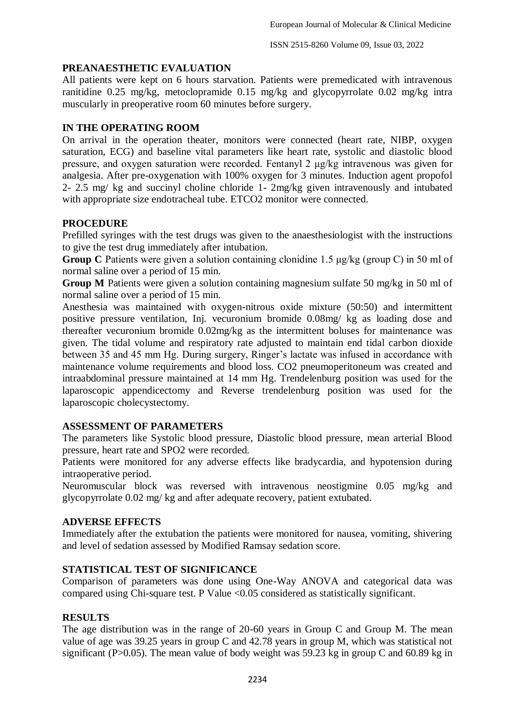### **PREANAESTHETIC EVALUATION**

All patients were kept on 6 hours starvation. Patients were premedicated with intravenous ranitidine 0.25 mg/kg, metoclopramide 0.15 mg/kg and glycopyrrolate 0.02 mg/kg intra muscularly in preoperative room 60 minutes before surgery.

# **IN THE OPERATING ROOM**

On arrival in the operation theater, monitors were connected (heart rate, NIBP, oxygen saturation, ECG) and baseline vital parameters like heart rate, systolic and diastolic blood pressure, and oxygen saturation were recorded. Fentanyl 2 μg/kg intravenous was given for analgesia. After pre-oxygenation with 100% oxygen for 3 minutes. Induction agent propofol 2- 2.5 mg/ kg and succinyl choline chloride 1- 2mg/kg given intravenously and intubated with appropriate size endotracheal tube. ETCO2 monitor were connected.

## **PROCEDURE**

Prefilled syringes with the test drugs was given to the anaesthesiologist with the instructions to give the test drug immediately after intubation.

**Group C** Patients were given a solution containing clonidine 1.5 μg/kg (group C) in 50 ml of normal saline over a period of 15 min.

**Group M** Patients were given a solution containing magnesium sulfate 50 mg/kg in 50 ml of normal saline over a period of 15 min.

Anesthesia was maintained with oxygen-nitrous oxide mixture (50:50) and intermittent positive pressure ventilation, Inj. vecuronium bromide 0.08mg/ kg as loading dose and thereafter vecuronium bromide 0.02mg/kg as the intermittent boluses for maintenance was given. The tidal volume and respiratory rate adjusted to maintain end tidal carbon dioxide between 35 and 45 mm Hg. During surgery, Ringer's lactate was infused in accordance with maintenance volume requirements and blood loss. CO2 pneumoperitoneum was created and intraabdominal pressure maintained at 14 mm Hg. Trendelenburg position was used for the laparoscopic appendicectomy and Reverse trendelenburg position was used for the laparoscopic cholecystectomy.

# **ASSESSMENT OF PARAMETERS**

The parameters like Systolic blood pressure, Diastolic blood pressure, mean arterial Blood pressure, heart rate and SPO2 were recorded.

Patients were monitored for any adverse effects like bradycardia, and hypotension during intraoperative period.

Neuromuscular block was reversed with intravenous neostigmine 0.05 mg/kg and glycopyrrolate 0.02 mg/ kg and after adequate recovery, patient extubated.

#### **ADVERSE EFFECTS**

Immediately after the extubation the patients were monitored for nausea, vomiting, shivering and level of sedation assessed by Modified Ramsay sedation score.

#### **STATISTICAL TEST OF SIGNIFICANCE**

Comparison of parameters was done using One-Way ANOVA and categorical data was compared using Chi-square test. P Value <0.05 considered as statistically significant.

#### **RESULTS**

The age distribution was in the range of 20-60 years in Group C and Group M. The mean value of age was 39.25 years in group C and 42.78 years in group M, which was statistical not significant (P $>0.05$ ). The mean value of body weight was 59.23 kg in group C and 60.89 kg in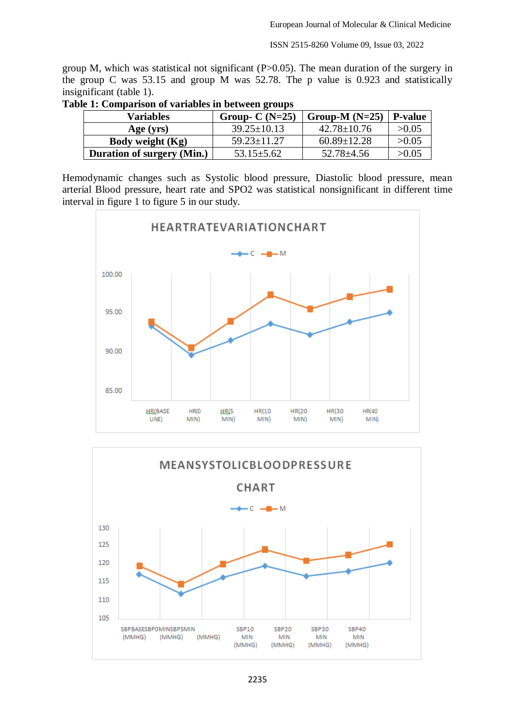ISSN 2515-8260 Volume 09, Issue 03, 2022

group M, which was statistical not significant  $(P>0.05)$ . The mean duration of the surgery in the group C was 53.15 and group M was 52.78. The p value is 0.923 and statistically insignificant (table 1).

| Variables                         | Group- $C(N=25)$  | Group-M $(N=25)$  | <b>P-value</b> |
|-----------------------------------|-------------------|-------------------|----------------|
| Age (yrs)                         | $39.25 \pm 10.13$ | $42.78 \pm 10.76$ | >0.05          |
| Body weight (Kg)                  | $59.23 \pm 11.27$ | $60.89 \pm 12.28$ | >0.05          |
| <b>Duration of surgery (Min.)</b> | $53.15 \pm 5.62$  | $52.78 \pm 4.56$  | >0.05          |

|  | Table 1: Comparison of variables in between groups |
|--|----------------------------------------------------|
|  |                                                    |

Hemodynamic changes such as Systolic blood pressure, Diastolic blood pressure, mean arterial Blood pressure, heart rate and SPO2 was statistical nonsignificant in different time interval in figure 1 to figure 5 in our study.



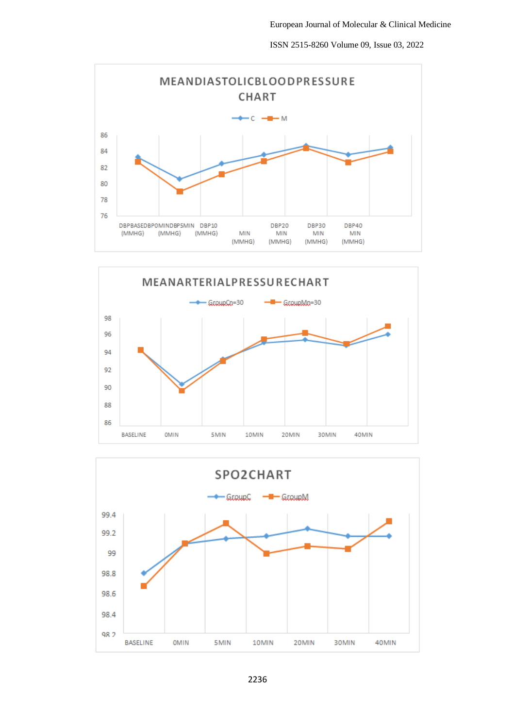ISSN 2515-8260 Volume 09, Issue 03, 2022





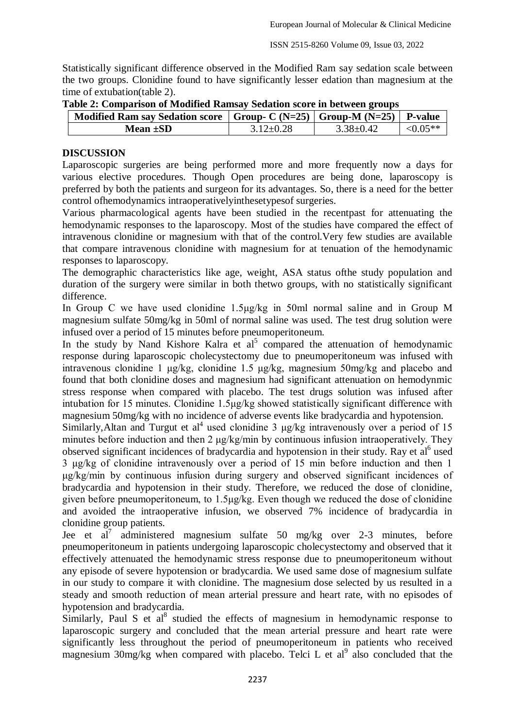Statistically significant difference observed in the Modified Ram say sedation scale between the two groups. Clonidine found to have significantly lesser edation than magnesium at the time of extubation(table 2).

| Tuble = Comparison of hrounded raminary beaution score in been central       |                 |                 |            |  |  |  |
|------------------------------------------------------------------------------|-----------------|-----------------|------------|--|--|--|
| Modified Ram say Sedation score   Group- C (N=25)   Group-M (N=25)   P-value |                 |                 |            |  |  |  |
| <b>Mean ±SD</b>                                                              | $3.12 \pm 0.28$ | $3.38 \pm 0.42$ | $< 0.05**$ |  |  |  |

#### **Table 2: Comparison of Modified Ramsay Sedation score in between groups**

# **DISCUSSION**

Laparoscopic surgeries are being performed more and more frequently now a days for various elective procedures. Though Open procedures are being done, laparoscopy is preferred by both the patients and surgeon for its advantages. So, there is a need for the better control ofhemodynamics intraoperativelyinthesetypesof surgeries.

Various pharmacological agents have been studied in the recentpast for attenuating the hemodynamic responses to the laparoscopy. Most of the studies have compared the effect of intravenous clonidine or magnesium with that of the control.Very few studies are available that compare intravenous clonidine with magnesium for at tenuation of the hemodynamic responses to laparoscopy.

The demographic characteristics like age, weight, ASA status ofthe study population and duration of the surgery were similar in both thetwo groups, with no statistically significant difference.

In Group C we have used clonidine 1.5μg/kg in 50ml normal saline and in Group M magnesium sulfate 50mg/kg in 50ml of normal saline was used. The test drug solution were infused over a period of 15 minutes before pneumoperitoneum.

In the study by Nand Kishore Kalra et  $a^5$  compared the attenuation of hemodynamic response during laparoscopic cholecystectomy due to pneumoperitoneum was infused with intravenous clonidine 1 μg/kg, clonidine 1.5 μg/kg, magnesium 50mg/kg and placebo and found that both clonidine doses and magnesium had significant attenuation on hemodynmic stress response when compared with placebo. The test drugs solution was infused after intubation for 15 minutes. Clonidine 1.5μg/kg showed statistically significant difference with magnesium 50mg/kg with no incidence of adverse events like bradycardia and hypotension.

Similarly, Altan and Turgut et al<sup>4</sup> used clonidine 3  $\mu$ g/kg intravenously over a period of 15 minutes before induction and then 2 μg/kg/min by continuous infusion intraoperatively. They observed significant incidences of bradycardia and hypotension in their study. Ray et al<sup>6</sup> used 3 μg/kg of clonidine intravenously over a period of 15 min before induction and then 1 μg/kg/min by continuous infusion during surgery and observed significant incidences of bradycardia and hypotension in their study. Therefore, we reduced the dose of clonidine, given before pneumoperitoneum, to 1.5μg/kg. Even though we reduced the dose of clonidine and avoided the intraoperative infusion, we observed 7% incidence of bradycardia in clonidine group patients.

Jee et al<sup>7</sup> administered magnesium sulfate 50 mg/kg over 2-3 minutes, before pneumoperitoneum in patients undergoing laparoscopic cholecystectomy and observed that it effectively attenuated the hemodynamic stress response due to pneumoperitoneum without any episode of severe hypotension or bradycardia. We used same dose of magnesium sulfate in our study to compare it with clonidine. The magnesium dose selected by us resulted in a steady and smooth reduction of mean arterial pressure and heart rate, with no episodes of hypotension and bradycardia.

Similarly, Paul S et al<sup>8</sup> studied the effects of magnesium in hemodynamic response to laparoscopic surgery and concluded that the mean arterial pressure and heart rate were significantly less throughout the period of pneumoperitoneum in patients who received magnesium  $30$ mg/kg when compared with placebo. Telci L et al<sup>9</sup> also concluded that the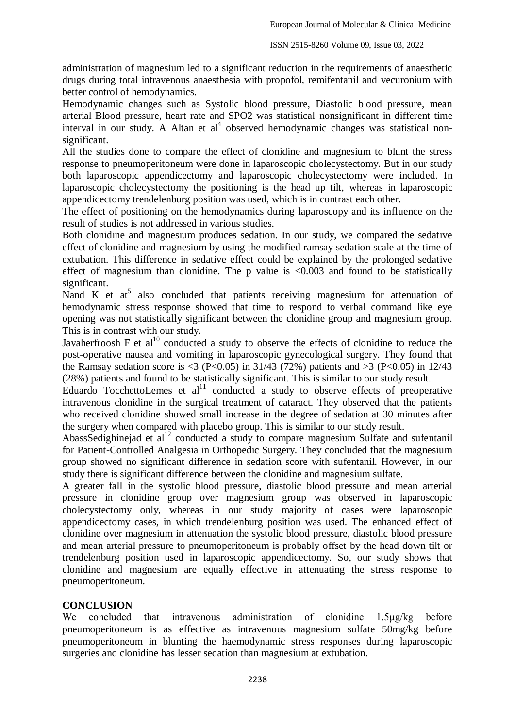administration of magnesium led to a significant reduction in the requirements of anaesthetic drugs during total intravenous anaesthesia with propofol, remifentanil and vecuronium with better control of hemodynamics.

Hemodynamic changes such as Systolic blood pressure, Diastolic blood pressure, mean arterial Blood pressure, heart rate and SPO2 was statistical nonsignificant in different time interval in our study. A Altan et al<sup>4</sup> observed hemodynamic changes was statistical nonsignificant.

All the studies done to compare the effect of clonidine and magnesium to blunt the stress response to pneumoperitoneum were done in laparoscopic cholecystectomy. But in our study both laparoscopic appendicectomy and laparoscopic cholecystectomy were included. In laparoscopic cholecystectomy the positioning is the head up tilt, whereas in laparoscopic appendicectomy trendelenburg position was used, which is in contrast each other.

The effect of positioning on the hemodynamics during laparoscopy and its influence on the result of studies is not addressed in various studies.

Both clonidine and magnesium produces sedation. In our study, we compared the sedative effect of clonidine and magnesium by using the modified ramsay sedation scale at the time of extubation. This difference in sedative effect could be explained by the prolonged sedative effect of magnesium than clonidine. The p value is  $\langle 0.003 \rangle$  and found to be statistically significant.

Nand K et  $at^5$  also concluded that patients receiving magnesium for attenuation of hemodynamic stress response showed that time to respond to verbal command like eye opening was not statistically significant between the clonidine group and magnesium group. This is in contrast with our study.

Javaherfroosh F et  $al^{10}$  conducted a study to observe the effects of clonidine to reduce the post-operative nausea and vomiting in laparoscopic gynecological surgery. They found that the Ramsay sedation score is <3 (P<0.05) in 31/43 (72%) patients and >3 (P<0.05) in 12/43 (28%) patients and found to be statistically significant. This is similar to our study result.

Eduardo TocchettoLemes et  $al<sup>11</sup>$  conducted a study to observe effects of preoperative intravenous clonidine in the surgical treatment of cataract. They observed that the patients who received clonidine showed small increase in the degree of sedation at 30 minutes after the surgery when compared with placebo group. This is similar to our study result.

AbassSedighinejad et  $al<sup>12</sup>$  conducted a study to compare magnesium Sulfate and sufentanil for Patient-Controlled Analgesia in Orthopedic Surgery. They concluded that the magnesium group showed no significant difference in sedation score with sufentanil. However, in our study there is significant difference between the clonidine and magnesium sulfate.

A greater fall in the systolic blood pressure, diastolic blood pressure and mean arterial pressure in clonidine group over magnesium group was observed in laparoscopic cholecystectomy only, whereas in our study majority of cases were laparoscopic appendicectomy cases, in which trendelenburg position was used. The enhanced effect of clonidine over magnesium in attenuation the systolic blood pressure, diastolic blood pressure and mean arterial pressure to pneumoperitoneum is probably offset by the head down tilt or trendelenburg position used in laparoscopic appendicectomy. So, our study shows that clonidine and magnesium are equally effective in attenuating the stress response to pneumoperitoneum.

# **CONCLUSION**

We concluded that intravenous administration of clonidine 1.5μg/kg before pneumoperitoneum is as effective as intravenous magnesium sulfate 50mg/kg before pneumoperitoneum in blunting the haemodynamic stress responses during laparoscopic surgeries and clonidine has lesser sedation than magnesium at extubation.